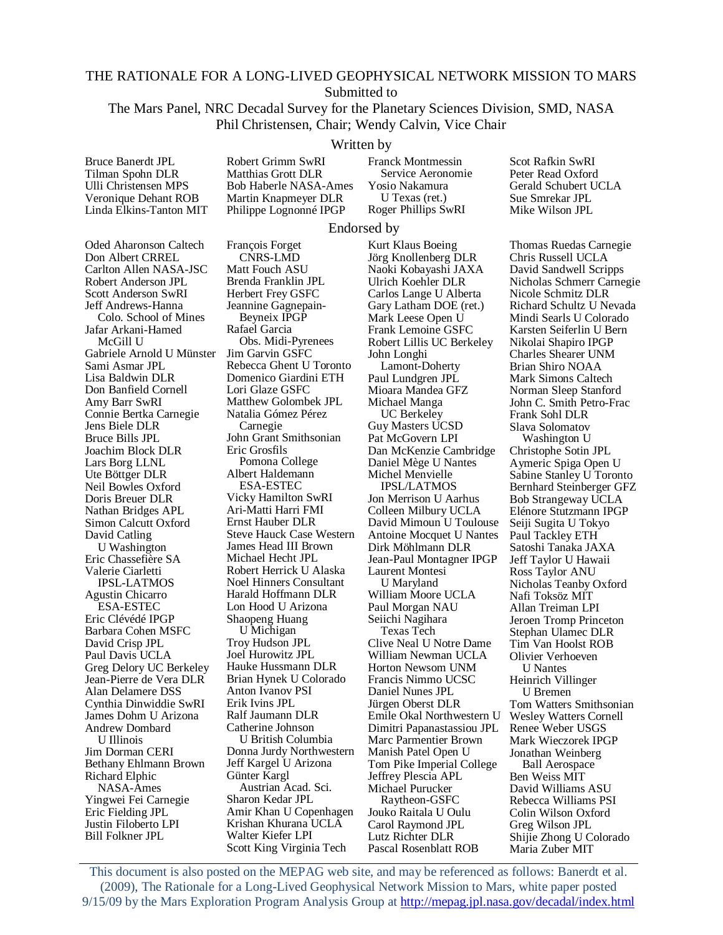# THE RATIONALE FOR A LONG-LIVED GEOPHYSICAL NETWORK MISSION TO MARS Submitted to

The Mars Panel, NRC Decadal Survey for the Planetary Sciences Division, SMD, NASA Phil Christensen, Chair; Wendy Calvin, Vice Chair

#### Written by

Bruce Banerdt JPL Tilman Spohn DLR Ulli Christensen MPS Veronique Dehant ROB Linda Elkins-Tanton MIT Robert Grimm SwRI Matthias Grott DLR Bob Haberle NASA-Ames Martin Knapmeyer DLR Philippe Lognonné IPGP

François Forget

Franck Montmessin Service Aeronomie Yosio Nakamura U Texas (ret.) Roger Phillips SwRI

#### Endorsed by

Oded Aharonson Caltech Don Albert CRREL Carlton Allen NASA-JSC Robert Anderson JPL Scott Anderson SwRI Jeff Andrews-Hanna Colo. School of Mines Jafar Arkani-Hamed McGill U Gabriele Arnold U Münster Jim Garvin GSFC Sami Asmar JPL Lisa Baldwin DLR Don Banfield Cornell Amy Barr SwRI Connie Bertka Carnegie Jens Biele DLR Bruce Bills JPL Joachim Block DLR Lars Borg LLNL Ute Böttger DLR Neil Bowles Oxford Doris Breuer DLR Nathan Bridges APL Simon Calcutt Oxford David Catling U Washington Eric Chassefière SA Valerie Ciarletti IPSL-LATMOS Agustin Chicarro ESA-ESTEC Eric Clévédé IPGP Barbara Cohen MSFC David Crisp JPL Paul Davis UCLA Greg Delory UC Berkeley Jean-Pierre de Vera DLR Alan Delamere DSS Cynthia Dinwiddie SwRI James Dohm U Arizona Andrew Dombard U Illinois Jim Dorman CERI Bethany Ehlmann Brown Richard Elphic NASA-Ames Yingwei Fei Carnegie Eric Fielding JPL Justin Filoberto LPI Bill Folkner JPL

CNRS-LMD Matt Fouch ASU Brenda Franklin JPL Herbert Frey GSFC Jeannine Gagnepain-Beyneix IPGP Rafael Garcia Obs. Midi-Pyrenees Rebecca Ghent U Toronto Domenico Giardini ETH Lori Glaze GSFC Matthew Golombek JPL Natalia Gómez Pérez Carnegie John Grant Smithsonian Eric Grosfils Pomona College Albert Haldemann ESA-ESTEC Vicky Hamilton SwRI Ari-Matti Harri FMI Ernst Hauber DLR Steve Hauck Case Western James Head III Brown Michael Hecht JPL Robert Herrick U Alaska Noel Hinners Consultant Harald Hoffmann DLR Lon Hood U Arizona Shaopeng Huang U Michigan Troy Hudson JPL Joel Hurowitz JPL Hauke Hussmann DLR Brian Hynek U Colorado Anton Ivanov PSI Erik Ivins JPL Ralf Jaumann DLR Catherine Johnson U British Columbia Donna Jurdy Northwestern Jeff Kargel U Arizona Günter Kargl Austrian Acad. Sci. Sharon Kedar JPL Amir Khan U Copenhagen Krishan Khurana UCLA Walter Kiefer LPI Scott King Virginia Tech

Kurt Klaus Boeing Jörg Knollenberg DLR Naoki Kobayashi JAXA Ulrich Koehler DLR Carlos Lange U Alberta Gary Latham DOE (ret.) Mark Leese Open U Frank Lemoine GSFC Robert Lillis UC Berkeley John Longhi Lamont-Doherty Paul Lundgren JPL Mioara Mandea GFZ Michael Manga UC Berkeley Guy Masters UCSD Pat McGovern LPI Dan McKenzie Cambridge Daniel Mège U Nantes Michel Menvielle IPSL/LATMOS Jon Merrison U Aarhus Colleen Milbury UCLA David Mimoun U Toulouse Antoine Mocquet U Nantes Dirk Möhlmann DLR Jean-Paul Montagner IPGP Laurent Montesi U Maryland William Moore UCLA Paul Morgan NAU Seiichi Nagihara Texas Tech Clive Neal U Notre Dame William Newman UCLA Horton Newsom UNM Francis Nimmo UCSC Daniel Nunes JPL Jürgen Oberst DLR Emile Okal Northwestern U Dimitri Papanastassiou JPL Marc Parmentier Brown Manish Patel Open U Tom Pike Imperial College Jeffrey Plescia APL Michael Purucker Raytheon-GSFC Jouko Raitala U Oulu Carol Raymond JPL Lutz Richter DLR Pascal Rosenblatt ROB

Scot Rafkin SwRI Peter Read Oxford Gerald Schubert UCLA Sue Smrekar JPL Mike Wilson JPL

Thomas Ruedas Carnegie Chris Russell UCLA David Sandwell Scripps Nicholas Schmerr Carnegie Nicole Schmitz DLR Richard Schultz U Nevada Mindi Searls U Colorado Karsten Seiferlin U Bern Nikolai Shapiro IPGP Charles Shearer UNM Brian Shiro NOAA Mark Simons Caltech Norman Sleep Stanford John C. Smith Petro-Frac Frank Sohl DLR Slava Solomatov Washington U

Christophe Sotin JPL Aymeric Spiga Open U Sabine Stanley U Toronto Bernhard Steinberger GFZ Bob Strangeway UCLA Elénore Stutzmann IPGP Seiji Sugita U Tokyo Paul Tackley ETH Satoshi Tanaka JAXA Jeff Taylor U Hawaii Ross Taylor ANU Nicholas Teanby Oxford Nafi Toksöz MIT Allan Treiman LPI Jeroen Tromp Princeton Stephan Ulamec DLR Tim Van Hoolst ROB Olivier Verhoeven U Nantes Heinrich Villinger U Bremen Tom Watters Smithsonian Wesley Watters Cornell Renee Weber USGS Mark Wieczorek IPGP Jonathan Weinberg Ball Aerospace Ben Weiss MIT David Williams ASU Rebecca Williams PSI Colin Wilson Oxford Greg Wilson JPL Shijie Zhong U Colorado Maria Zuber MIT

This document is also posted on the MEPAG web site, and may be referenced as follows: Banerdt et al. (2009), The Rationale for a Long-Lived Geophysical Network Mission to Mars, white paper posted 9/15/09 by the Mars Exploration Program Analysis Group at http://mepag.jpl.nasa.gov/decadal/index.html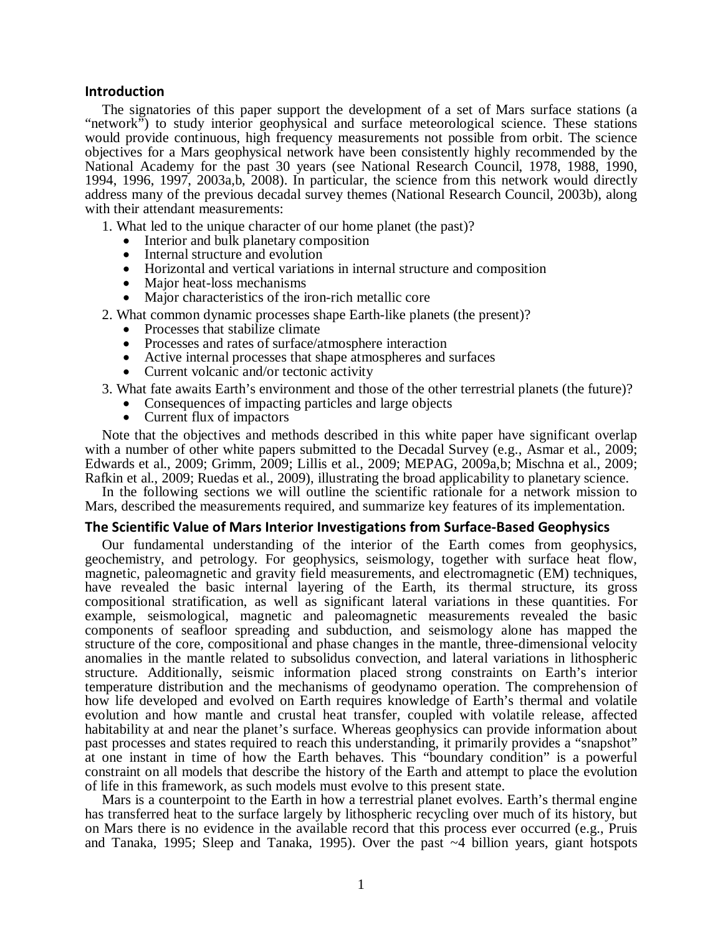### Introduction

The signatories of this paper support the development of a set of Mars surface stations (a "network") to study interior geophysical and surface meteorological science. These stations would provide continuous, high frequency measurements not possible from orbit. The science objectives for a Mars geophysical network have been consistently highly recommended by the National Academy for the past 30 years (see National Research Council, 1978, 1988, 1990, 1994, 1996, 1997, 2003a,b, 2008). In particular, the science from this network would directly address many of the previous decadal survey themes (National Research Council, 2003b), along with their attendant measurements:

- 1. What led to the unique character of our home planet (the past)?
	- Interior and bulk planetary composition
	- Internal structure and evolution
	- Horizontal and vertical variations in internal structure and composition
	- Major heat-loss mechanisms
	- Major characteristics of the iron-rich metallic core
- 2. What common dynamic processes shape Earth-like planets (the present)?
	- Processes that stabilize climate
	- Processes and rates of surface/atmosphere interaction
	- Active internal processes that shape atmospheres and surfaces
	- Current volcanic and/or tectonic activity

3. What fate awaits Earth's environment and those of the other terrestrial planets (the future)?

- Consequences of impacting particles and large objects
- Current flux of impactors

Note that the objectives and methods described in this white paper have significant overlap with a number of other white papers submitted to the Decadal Survey (e.g., Asmar et al., 2009; Edwards et al., 2009; Grimm, 2009; Lillis et al., 2009; MEPAG, 2009a,b; Mischna et al., 2009; Rafkin et al., 2009; Ruedas et al., 2009), illustrating the broad applicability to planetary science.

In the following sections we will outline the scientific rationale for a network mission to Mars, described the measurements required, and summarize key features of its implementation.

#### The Scientific Value of Mars Interior Investigations from Surface-Based Geophysics

Our fundamental understanding of the interior of the Earth comes from geophysics, geochemistry, and petrology. For geophysics, seismology, together with surface heat flow, magnetic, paleomagnetic and gravity field measurements, and electromagnetic (EM) techniques, have revealed the basic internal layering of the Earth, its thermal structure, its gross compositional stratification, as well as significant lateral variations in these quantities. For example, seismological, magnetic and paleomagnetic measurements revealed the basic components of seafloor spreading and subduction, and seismology alone has mapped the structure of the core, compositional and phase changes in the mantle, three-dimensional velocity anomalies in the mantle related to subsolidus convection, and lateral variations in lithospheric structure. Additionally, seismic information placed strong constraints on Earth's interior temperature distribution and the mechanisms of geodynamo operation. The comprehension of how life developed and evolved on Earth requires knowledge of Earth's thermal and volatile evolution and how mantle and crustal heat transfer, coupled with volatile release, affected habitability at and near the planet's surface. Whereas geophysics can provide information about past processes and states required to reach this understanding, it primarily provides a "snapshot" at one instant in time of how the Earth behaves. This "boundary condition" is a powerful constraint on all models that describe the history of the Earth and attempt to place the evolution of life in this framework, as such models must evolve to this present state.

Mars is a counterpoint to the Earth in how a terrestrial planet evolves. Earth's thermal engine has transferred heat to the surface largely by lithospheric recycling over much of its history, but on Mars there is no evidence in the available record that this process ever occurred (e.g., Pruis and Tanaka, 1995; Sleep and Tanaka, 1995). Over the past ~4 billion years, giant hotspots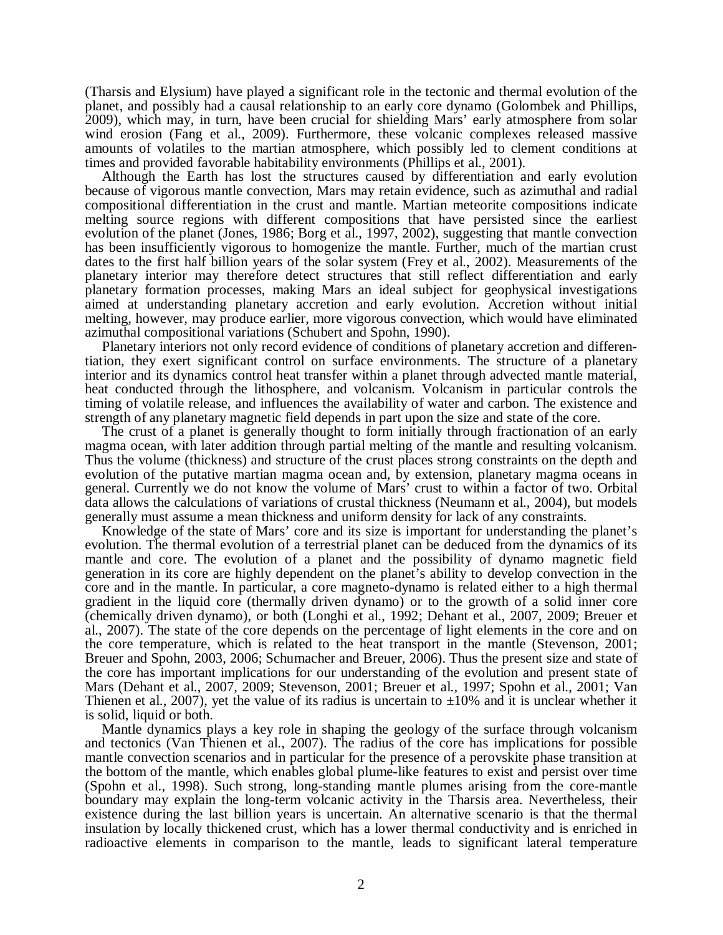(Tharsis and Elysium) have played a significant role in the tectonic and thermal evolution of the planet, and possibly had a causal relationship to an early core dynamo (Golombek and Phillips, 2009), which may, in turn, have been crucial for shielding Mars' early atmosphere from solar wind erosion (Fang et al., 2009). Furthermore, these volcanic complexes released massive amounts of volatiles to the martian atmosphere, which possibly led to clement conditions at times and provided favorable habitability environments (Phillips et al., 2001).

Although the Earth has lost the structures caused by differentiation and early evolution because of vigorous mantle convection, Mars may retain evidence, such as azimuthal and radial compositional differentiation in the crust and mantle. Martian meteorite compositions indicate melting source regions with different compositions that have persisted since the earliest evolution of the planet (Jones, 1986; Borg et al., 1997, 2002), suggesting that mantle convection has been insufficiently vigorous to homogenize the mantle. Further, much of the martian crust dates to the first half billion years of the solar system (Frey et al., 2002). Measurements of the planetary interior may therefore detect structures that still reflect differentiation and early planetary formation processes, making Mars an ideal subject for geophysical investigations aimed at understanding planetary accretion and early evolution. Accretion without initial melting, however, may produce earlier, more vigorous convection, which would have eliminated azimuthal compositional variations (Schubert and Spohn, 1990).

Planetary interiors not only record evidence of conditions of planetary accretion and differentiation, they exert significant control on surface environments. The structure of a planetary interior and its dynamics control heat transfer within a planet through advected mantle material, heat conducted through the lithosphere, and volcanism. Volcanism in particular controls the timing of volatile release, and influences the availability of water and carbon. The existence and strength of any planetary magnetic field depends in part upon the size and state of the core.

The crust of a planet is generally thought to form initially through fractionation of an early magma ocean, with later addition through partial melting of the mantle and resulting volcanism. Thus the volume (thickness) and structure of the crust places strong constraints on the depth and evolution of the putative martian magma ocean and, by extension, planetary magma oceans in general. Currently we do not know the volume of Mars' crust to within a factor of two. Orbital data allows the calculations of variations of crustal thickness (Neumann et al., 2004), but models generally must assume a mean thickness and uniform density for lack of any constraints.

Knowledge of the state of Mars' core and its size is important for understanding the planet's evolution. The thermal evolution of a terrestrial planet can be deduced from the dynamics of its mantle and core. The evolution of a planet and the possibility of dynamo magnetic field generation in its core are highly dependent on the planet's ability to develop convection in the core and in the mantle. In particular, a core magneto-dynamo is related either to a high thermal gradient in the liquid core (thermally driven dynamo) or to the growth of a solid inner core (chemically driven dynamo), or both (Longhi et al., 1992; Dehant et al., 2007, 2009; Breuer et al., 2007). The state of the core depends on the percentage of light elements in the core and on the core temperature, which is related to the heat transport in the mantle (Stevenson, 2001; Breuer and Spohn, 2003, 2006; Schumacher and Breuer, 2006). Thus the present size and state of the core has important implications for our understanding of the evolution and present state of Mars (Dehant et al., 2007, 2009; Stevenson, 2001; Breuer et al., 1997; Spohn et al., 2001; Van Thienen et al., 2007), yet the value of its radius is uncertain to  $\pm 10\%$  and it is unclear whether it is solid, liquid or both.

Mantle dynamics plays a key role in shaping the geology of the surface through volcanism and tectonics (Van Thienen et al., 2007). The radius of the core has implications for possible mantle convection scenarios and in particular for the presence of a perovskite phase transition at the bottom of the mantle, which enables global plume-like features to exist and persist over time (Spohn et al., 1998). Such strong, long-standing mantle plumes arising from the core-mantle boundary may explain the long-term volcanic activity in the Tharsis area. Nevertheless, their existence during the last billion years is uncertain. An alternative scenario is that the thermal insulation by locally thickened crust, which has a lower thermal conductivity and is enriched in radioactive elements in comparison to the mantle, leads to significant lateral temperature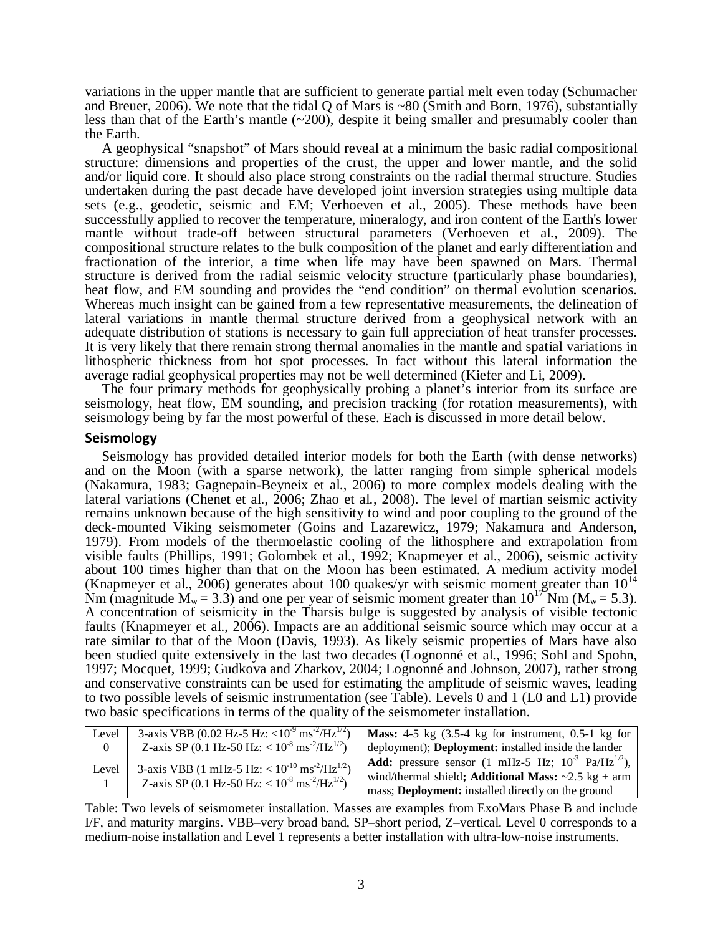variations in the upper mantle that are sufficient to generate partial melt even today (Schumacher and Breuer, 2006). We note that the tidal Q of Mars is ~80 (Smith and Born, 1976), substantially less than that of the Earth's mantle (~200), despite it being smaller and presumably cooler than the Earth.

A geophysical "snapshot" of Mars should reveal at a minimum the basic radial compositional structure: dimensions and properties of the crust, the upper and lower mantle, and the solid and/or liquid core. It should also place strong constraints on the radial thermal structure. Studies undertaken during the past decade have developed joint inversion strategies using multiple data sets (e.g., geodetic, seismic and EM; Verhoeven et al., 2005). These methods have been successfully applied to recover the temperature, mineralogy, and iron content of the Earth's lower mantle without trade-off between structural parameters (Verhoeven et al., 2009). The compositional structure relates to the bulk composition of the planet and early differentiation and fractionation of the interior, a time when life may have been spawned on Mars. Thermal structure is derived from the radial seismic velocity structure (particularly phase boundaries), heat flow, and EM sounding and provides the "end condition" on thermal evolution scenarios. Whereas much insight can be gained from a few representative measurements, the delineation of lateral variations in mantle thermal structure derived from a geophysical network with an adequate distribution of stations is necessary to gain full appreciation of heat transfer processes. It is very likely that there remain strong thermal anomalies in the mantle and spatial variations in lithospheric thickness from hot spot processes. In fact without this lateral information the average radial geophysical properties may not be well determined (Kiefer and Li, 2009).

The four primary methods for geophysically probing a planet's interior from its surface are seismology, heat flow, EM sounding, and precision tracking (for rotation measurements), with seismology being by far the most powerful of these. Each is discussed in more detail below.

## Seismology

Seismology has provided detailed interior models for both the Earth (with dense networks) and on the Moon (with a sparse network), the latter ranging from simple spherical models (Nakamura, 1983; Gagnepain-Beyneix et al., 2006) to more complex models dealing with the lateral variations (Chenet et al., 2006; Zhao et al., 2008). The level of martian seismic activity remains unknown because of the high sensitivity to wind and poor coupling to the ground of the deck-mounted Viking seismometer (Goins and Lazarewicz, 1979; Nakamura and Anderson, 1979). From models of the thermoelastic cooling of the lithosphere and extrapolation from visible faults (Phillips, 1991; Golombek et al., 1992; Knapmeyer et al., 2006), seismic activity about 100 times higher than that on the Moon has been estimated. A medium activity model (Knapmeyer et al., 2006) generates about 100 quakes/yr with seismic moment greater than  $10^{14}$ Nm (magnitude  $M_w = 3.3$ ) and one per year of seismic moment greater than  $10^{17}$  Nm ( $M_w = 5.3$ ). A concentration of seismicity in the Tharsis bulge is suggested by analysis of visible tectonic faults (Knapmeyer et al., 2006). Impacts are an additional seismic source which may occur at a rate similar to that of the Moon (Davis, 1993). As likely seismic properties of Mars have also been studied quite extensively in the last two decades (Lognonné et al., 1996; Sohl and Spohn, 1997; Mocquet, 1999; Gudkova and Zharkov, 2004; Lognonné and Johnson, 2007), rather strong and conservative constraints can be used for estimating the amplitude of seismic waves, leading to two possible levels of seismic instrumentation (see Table). Levels 0 and 1 (L0 and L1) provide two basic specifications in terms of the quality of the seismometer installation.

| Level    | 3-axis VBB (0.02 Hz-5 Hz: $< 10^{-9}$ ms <sup>-2</sup> /Hz <sup>1/2</sup> ) | <b>Mass:</b> 4-5 kg $(3.5-4 \text{ kg}$ for instrument, 0.5-1 kg for                                                                                   |
|----------|-----------------------------------------------------------------------------|--------------------------------------------------------------------------------------------------------------------------------------------------------|
| $\theta$ | Z-axis SP (0.1 Hz-50 Hz: $< 10^{-8}$ ms <sup>-2</sup> /Hz <sup>1/2</sup> )  | deployment); <b>Deployment:</b> installed inside the lander                                                                                            |
| Level    | 3-axis VBB (1 mHz-5 Hz: $< 10^{-10}$ ms <sup>-2</sup> /Hz <sup>1/2</sup> )  | <b>Add:</b> pressure sensor (1 mHz-5 Hz; $10^{-3}$ Pa/Hz <sup>1/2</sup> ),<br>wind/thermal shield; Additional Mass: $\sim 2.5 \text{ kg} + \text{arm}$ |
|          | Z-axis SP (0.1 Hz-50 Hz: $< 10^{-8}$ ms <sup>-2</sup> /Hz <sup>1/2</sup> )  | mass; Deployment: installed directly on the ground                                                                                                     |

Table: Two levels of seismometer installation. Masses are examples from ExoMars Phase B and include I/F, and maturity margins. VBB–very broad band, SP–short period, Z–vertical. Level 0 corresponds to a medium-noise installation and Level 1 represents a better installation with ultra-low-noise instruments.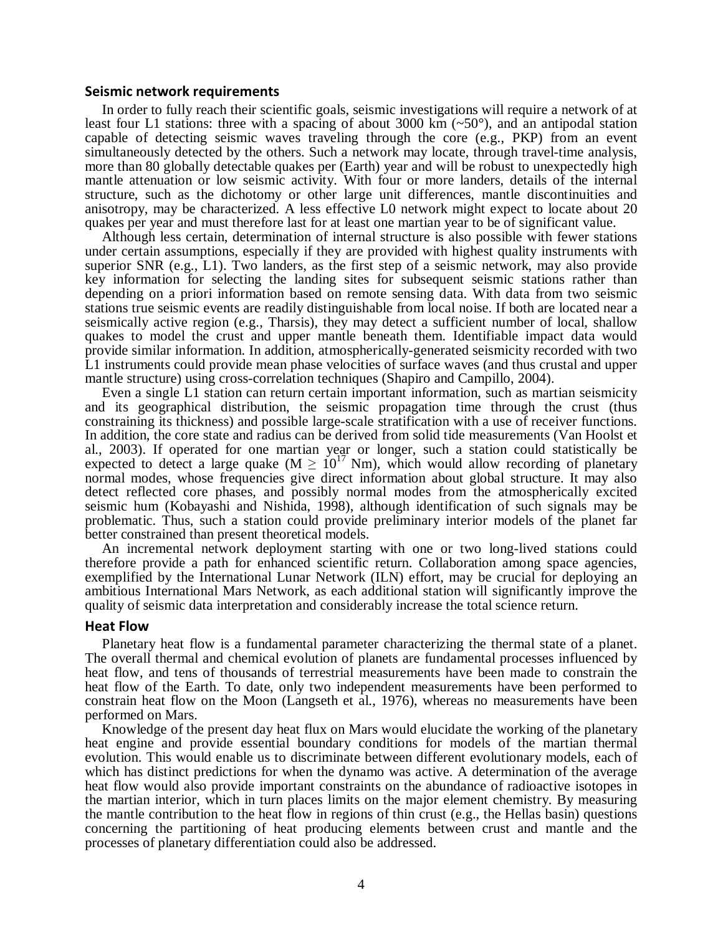### Seismic network requirements

In order to fully reach their scientific goals, seismic investigations will require a network of at least four L1 stations: three with a spacing of about 3000 km  $(\sim 50^{\circ})$ , and an antipodal station capable of detecting seismic waves traveling through the core (e.g., PKP) from an event simultaneously detected by the others. Such a network may locate, through travel-time analysis, more than 80 globally detectable quakes per (Earth) year and will be robust to unexpectedly high mantle attenuation or low seismic activity. With four or more landers, details of the internal structure, such as the dichotomy or other large unit differences, mantle discontinuities and anisotropy, may be characterized. A less effective L0 network might expect to locate about 20 quakes per year and must therefore last for at least one martian year to be of significant value.

Although less certain, determination of internal structure is also possible with fewer stations under certain assumptions, especially if they are provided with highest quality instruments with superior SNR (e.g., L1). Two landers, as the first step of a seismic network, may also provide key information for selecting the landing sites for subsequent seismic stations rather than depending on a priori information based on remote sensing data. With data from two seismic stations true seismic events are readily distinguishable from local noise. If both are located near a seismically active region (e.g., Tharsis), they may detect a sufficient number of local, shallow quakes to model the crust and upper mantle beneath them. Identifiable impact data would provide similar information. In addition, atmospherically-generated seismicity recorded with two L1 instruments could provide mean phase velocities of surface waves (and thus crustal and upper mantle structure) using cross-correlation techniques (Shapiro and Campillo, 2004).

Even a single L1 station can return certain important information, such as martian seismicity and its geographical distribution, the seismic propagation time through the crust (thus constraining its thickness) and possible large-scale stratification with a use of receiver functions. In addition, the core state and radius can be derived from solid tide measurements (Van Hoolst et al., 2003). If operated for one martian year or longer, such a station could statistically be expected to detect a large quake ( $M \ge 10^{17}$  Nm), which would allow recording of planetary normal modes, whose frequencies give direct information about global structure. It may also detect reflected core phases, and possibly normal modes from the atmospherically excited seismic hum (Kobayashi and Nishida, 1998), although identification of such signals may be problematic. Thus, such a station could provide preliminary interior models of the planet far better constrained than present theoretical models.

An incremental network deployment starting with one or two long-lived stations could therefore provide a path for enhanced scientific return. Collaboration among space agencies, exemplified by the International Lunar Network (ILN) effort, may be crucial for deploying an ambitious International Mars Network, as each additional station will significantly improve the quality of seismic data interpretation and considerably increase the total science return.

#### Heat Flow

Planetary heat flow is a fundamental parameter characterizing the thermal state of a planet. The overall thermal and chemical evolution of planets are fundamental processes influenced by heat flow, and tens of thousands of terrestrial measurements have been made to constrain the heat flow of the Earth. To date, only two independent measurements have been performed to constrain heat flow on the Moon (Langseth et al., 1976), whereas no measurements have been performed on Mars.

Knowledge of the present day heat flux on Mars would elucidate the working of the planetary heat engine and provide essential boundary conditions for models of the martian thermal evolution. This would enable us to discriminate between different evolutionary models, each of which has distinct predictions for when the dynamo was active. A determination of the average heat flow would also provide important constraints on the abundance of radioactive isotopes in the martian interior, which in turn places limits on the major element chemistry. By measuring the mantle contribution to the heat flow in regions of thin crust (e.g., the Hellas basin) questions concerning the partitioning of heat producing elements between crust and mantle and the processes of planetary differentiation could also be addressed.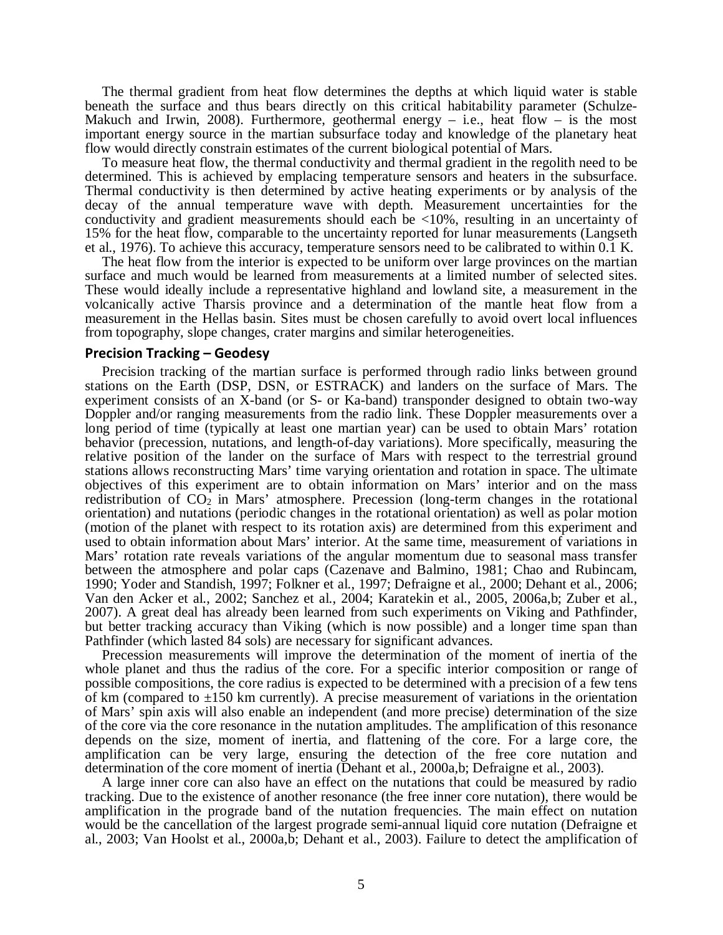The thermal gradient from heat flow determines the depths at which liquid water is stable beneath the surface and thus bears directly on this critical habitability parameter (Schulze-Makuch and Irwin, 2008). Furthermore, geothermal energy – i.e., heat flow – is the most important energy source in the martian subsurface today and knowledge of the planetary heat flow would directly constrain estimates of the current biological potential of Mars.

To measure heat flow, the thermal conductivity and thermal gradient in the regolith need to be determined. This is achieved by emplacing temperature sensors and heaters in the subsurface. Thermal conductivity is then determined by active heating experiments or by analysis of the decay of the annual temperature wave with depth. Measurement uncertainties for the conductivity and gradient measurements should each be <10%, resulting in an uncertainty of 15% for the heat flow, comparable to the uncertainty reported for lunar measurements (Langseth et al., 1976). To achieve this accuracy, temperature sensors need to be calibrated to within 0.1 K.

The heat flow from the interior is expected to be uniform over large provinces on the martian surface and much would be learned from measurements at a limited number of selected sites. These would ideally include a representative highland and lowland site, a measurement in the volcanically active Tharsis province and a determination of the mantle heat flow from a measurement in the Hellas basin. Sites must be chosen carefully to avoid overt local influences from topography, slope changes, crater margins and similar heterogeneities.

#### Precision Tracking – Geodesy

Precision tracking of the martian surface is performed through radio links between ground stations on the Earth (DSP, DSN, or ESTRACK) and landers on the surface of Mars. The experiment consists of an X-band (or S- or Ka-band) transponder designed to obtain two-way Doppler and/or ranging measurements from the radio link. These Doppler measurements over a long period of time (typically at least one martian year) can be used to obtain Mars' rotation behavior (precession, nutations, and length-of-day variations). More specifically, measuring the relative position of the lander on the surface of Mars with respect to the terrestrial ground stations allows reconstructing Mars' time varying orientation and rotation in space. The ultimate objectives of this experiment are to obtain information on Mars' interior and on the mass redistribution of  $CO<sub>2</sub>$  in Mars' atmosphere. Precession (long-term changes in the rotational orientation) and nutations (periodic changes in the rotational orientation) as well as polar motion (motion of the planet with respect to its rotation axis) are determined from this experiment and used to obtain information about Mars' interior. At the same time, measurement of variations in Mars' rotation rate reveals variations of the angular momentum due to seasonal mass transfer between the atmosphere and polar caps (Cazenave and Balmino, 1981; Chao and Rubincam, 1990; Yoder and Standish, 1997; Folkner et al., 1997; Defraigne et al., 2000; Dehant et al., 2006; Van den Acker et al., 2002; Sanchez et al., 2004; Karatekin et al., 2005, 2006a,b; Zuber et al., 2007). A great deal has already been learned from such experiments on Viking and Pathfinder, but better tracking accuracy than Viking (which is now possible) and a longer time span than Pathfinder (which lasted 84 sols) are necessary for significant advances.

Precession measurements will improve the determination of the moment of inertia of the whole planet and thus the radius of the core. For a specific interior composition or range of possible compositions, the core radius is expected to be determined with a precision of a few tens of km (compared to  $\pm 150$  km currently). A precise measurement of variations in the orientation of Mars' spin axis will also enable an independent (and more precise) determination of the size of the core via the core resonance in the nutation amplitudes. The amplification of this resonance depends on the size, moment of inertia, and flattening of the core. For a large core, the amplification can be very large, ensuring the detection of the free core nutation and determination of the core moment of inertia (Dehant et al., 2000a,b; Defraigne et al., 2003).

A large inner core can also have an effect on the nutations that could be measured by radio tracking. Due to the existence of another resonance (the free inner core nutation), there would be amplification in the prograde band of the nutation frequencies. The main effect on nutation would be the cancellation of the largest prograde semi-annual liquid core nutation (Defraigne et al., 2003; Van Hoolst et al., 2000a,b; Dehant et al., 2003). Failure to detect the amplification of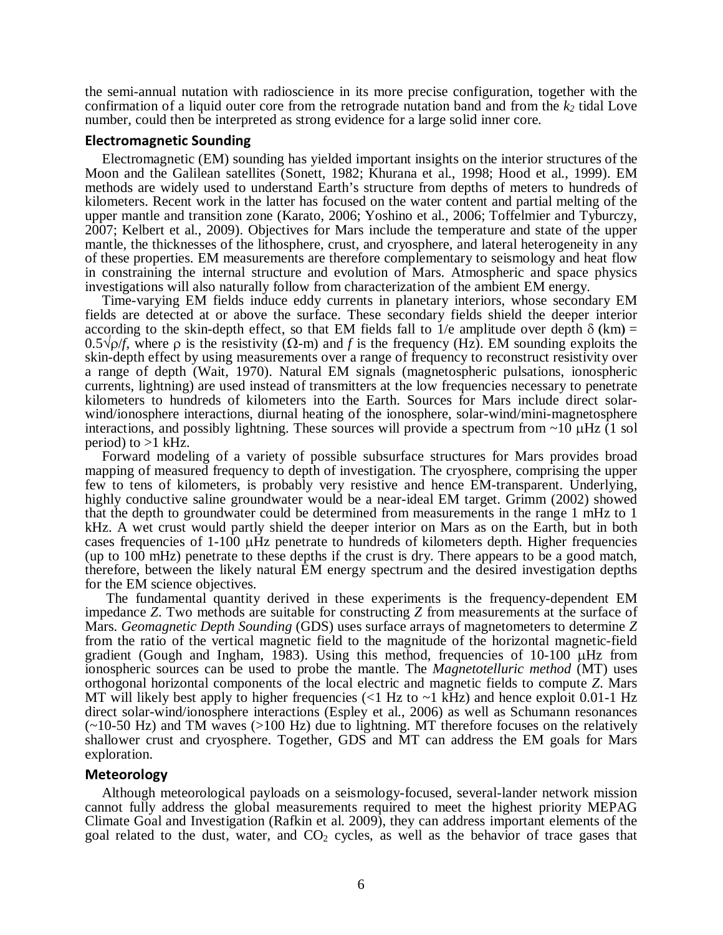the semi-annual nutation with radioscience in its more precise configuration, together with the confirmation of a liquid outer core from the retrograde nutation band and from the *k2* tidal Love number, could then be interpreted as strong evidence for a large solid inner core.

### Electromagnetic Sounding

Electromagnetic (EM) sounding has yielded important insights on the interior structures of the Moon and the Galilean satellites (Sonett, 1982; Khurana et al., 1998; Hood et al., 1999). EM methods are widely used to understand Earth's structure from depths of meters to hundreds of kilometers. Recent work in the latter has focused on the water content and partial melting of the upper mantle and transition zone (Karato, 2006; Yoshino et al., 2006; Toffelmier and Tyburczy, 2007; Kelbert et al., 2009). Objectives for Mars include the temperature and state of the upper mantle, the thicknesses of the lithosphere, crust, and cryosphere, and lateral heterogeneity in any of these properties. EM measurements are therefore complementary to seismology and heat flow in constraining the internal structure and evolution of Mars. Atmospheric and space physics investigations will also naturally follow from characterization of the ambient EM energy.

Time-varying EM fields induce eddy currents in planetary interiors, whose secondary EM fields are detected at or above the surface. These secondary fields shield the deeper interior according to the skin-depth effect, so that EM fields fall to 1/e amplitude over depth  $\delta$  (km) = 0.5√ρ/*f*, where ρ is the resistivity (Ω-m) and *f* is the frequency (Hz). EM sounding exploits the skin-depth effect by using measurements over a range of frequency to reconstruct resistivity over a range of depth (Wait, 1970). Natural EM signals (magnetospheric pulsations, ionospheric currents, lightning) are used instead of transmitters at the low frequencies necessary to penetrate kilometers to hundreds of kilometers into the Earth. Sources for Mars include direct solarwind/ionosphere interactions, diurnal heating of the ionosphere, solar-wind/mini-magnetosphere interactions, and possibly lightning. These sources will provide a spectrum from  $\sim 10 \mu$ Hz (1 sol period) to  $>1$  kHz.

Forward modeling of a variety of possible subsurface structures for Mars provides broad mapping of measured frequency to depth of investigation. The cryosphere, comprising the upper few to tens of kilometers, is probably very resistive and hence EM-transparent. Underlying, highly conductive saline groundwater would be a near-ideal EM target. Grimm (2002) showed that the depth to groundwater could be determined from measurements in the range 1 mHz to 1 kHz. A wet crust would partly shield the deeper interior on Mars as on the Earth, but in both cases frequencies of  $1-100 \mu$ Hz penetrate to hundreds of kilometers depth. Higher frequencies (up to 100 mHz) penetrate to these depths if the crust is dry. There appears to be a good match, therefore, between the likely natural EM energy spectrum and the desired investigation depths for the EM science objectives.

The fundamental quantity derived in these experiments is the frequency-dependent EM impedance *Z*. Two methods are suitable for constructing *Z* from measurements at the surface of Mars. *Geomagnetic Depth Sounding* (GDS) uses surface arrays of magnetometers to determine *Z* from the ratio of the vertical magnetic field to the magnitude of the horizontal magnetic-field gradient (Gough and Ingham, 1983). Using this method, frequencies of  $10-100 \mu$ Hz from ionospheric sources can be used to probe the mantle. The *Magnetotelluric method* (MT) uses orthogonal horizontal components of the local electric and magnetic fields to compute *Z*. Mars MT will likely best apply to higher frequencies  $(<1$  Hz to  $~1$  kHz) and hence exploit 0.01-1 Hz direct solar-wind/ionosphere interactions (Espley et al., 2006) as well as Schumann resonances (~10-50 Hz) and TM waves (>100 Hz) due to lightning. MT therefore focuses on the relatively shallower crust and cryosphere. Together, GDS and MT can address the EM goals for Mars exploration.

## Meteorology

Although meteorological payloads on a seismology-focused, several-lander network mission cannot fully address the global measurements required to meet the highest priority MEPAG Climate Goal and Investigation (Rafkin et al. 2009), they can address important elements of the goal related to the dust, water, and  $CO<sub>2</sub>$  cycles, as well as the behavior of trace gases that